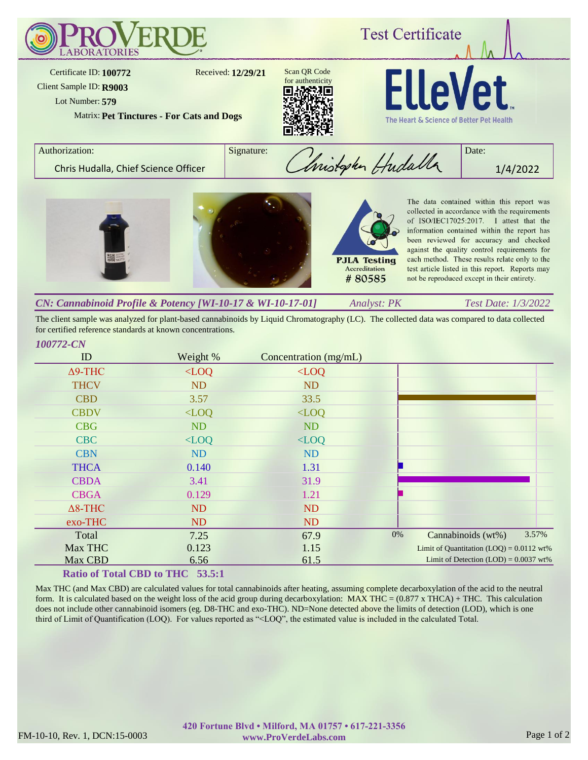

The client sample was analyzed for plant-based cannabinoids by Liquid Chromatography (LC). The collected data was compared to data collected for certified reference standards at known concentrations.

# ID Weight % Concentration (mg/mL) *100772-CN* Δ9-THC <LOQ <LOQ THCV ND ND CBD 3.57 33.5 CBDV <LOQ <LOQ CBG ND ND CBC <LOQ <LOQ CBN ND ND THCA 0.140 1.31 CBDA 3.41 31.9 CBGA 0.129 1.21 Δ8-THC ND ND exo-THC ND ND Total 7.25 67.9 Max THC 0.123 1.15 Max CBD 6.56 61.5 0% Cannabinoids (wt%) 3.57% Limit of Quantitation  $(LOQ) = 0.0112$  wt% Limit of Detection  $(LOD) = 0.0037$  wt%

# **Ratio of Total CBD to THC 53.5:1**

Max THC (and Max CBD) are calculated values for total cannabinoids after heating, assuming complete decarboxylation of the acid to the neutral form. It is calculated based on the weight loss of the acid group during decarboxylation:  $MAX THE = (0.877 x THEA) + THE$ . This calculation does not include other cannabinoid isomers (eg. D8-THC and exo-THC). ND=None detected above the limits of detection (LOD), which is one third of Limit of Quantification (LOQ). For values reported as "<LOQ", the estimated value is included in the calculated Total.

#### FM-10-10, Rev. 1, DCN:15-0003 www.ProVerdeLabs.com Page 1 of 2 **420 Fortune Blvd • Milford, MA 01757 • 617-221-3356 www.ProVerdeLabs.com**